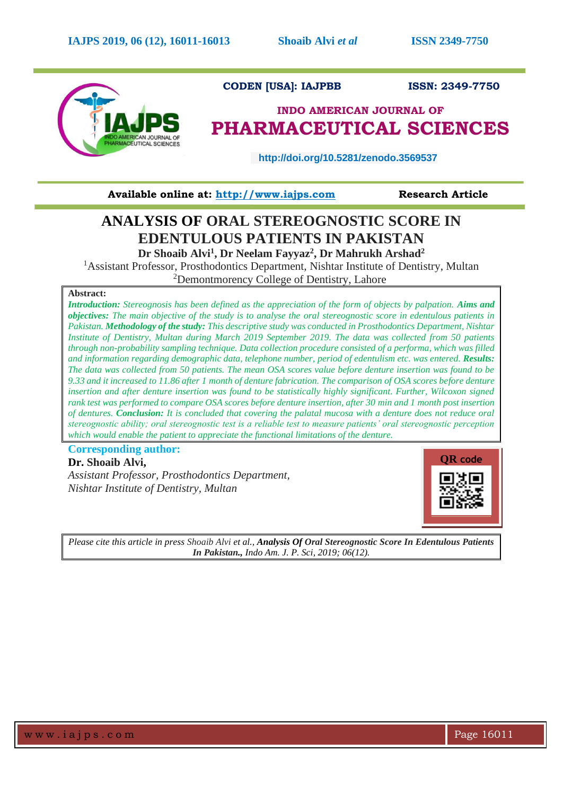

**Available online at: [http://www.iajps.com](http://www.iajps.com/)****Research Article**

# **ANALYSIS OF ORAL STEREOGNOSTIC SCORE IN EDENTULOUS PATIENTS IN PAKISTAN Dr Shoaib Alvi<sup>1</sup> , Dr Neelam Fayyaz<sup>2</sup> , Dr Mahrukh Arshad<sup>2</sup>**

<sup>1</sup> Assistant Professor, Prosthodontics Department, Nishtar Institute of Dentistry, Multan <sup>2</sup>Demontmorency College of Dentistry, Lahore

## **Abstract:**

*Introduction: Stereognosis has been defined as the appreciation of the form of objects by palpation. Aims and objectives: The main objective of the study is to analyse the oral stereognostic score in edentulous patients in Pakistan. Methodology of the study: This descriptive study was conducted in Prosthodontics Department, Nishtar Institute of Dentistry, Multan during March 2019 September 2019. The data was collected from 50 patients through non-probability sampling technique. Data collection procedure consisted of a performa, which was filled and information regarding demographic data, telephone number, period of edentulism etc. was entered. Results: The data was collected from 50 patients. The mean OSA scores value before denture insertion was found to be 9.33 and it increased to 11.86 after 1 month of denture fabrication. The comparison of OSA scores before denture insertion and after denture insertion was found to be statistically highly significant. Further, Wilcoxon signed rank test was performed to compare OSA scores before denture insertion, after 30 min and 1 month post insertion of dentures. Conclusion: It is concluded that covering the palatal mucosa with a denture does not reduce oral stereognostic ability; oral stereognostic test is a reliable test to measure patients' oral stereognostic perception which would enable the patient to appreciate the functional limitations of the denture.*

**Corresponding author: Dr. Shoaib Alvi,**

*Assistant Professor, Prosthodontics Department, Nishtar Institute of Dentistry, Multan*



*Please cite this article in press Shoaib Alvi et al., Analysis Of Oral Stereognostic Score In Edentulous Patients In Pakistan., Indo Am. J. P. Sci, 2019; 06(12).*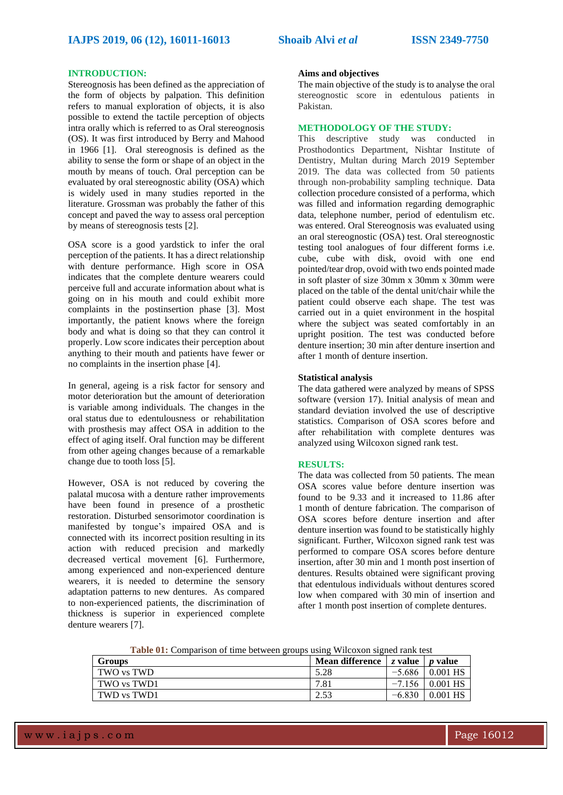#### **INTRODUCTION:**

Stereognosis has been defined as the appreciation of the form of objects by palpation. This definition refers to manual exploration of objects, it is also possible to extend the tactile perception of objects intra orally which is referred to as Oral stereognosis (OS). It was first introduced by Berry and Mahood in 1966 [1]. Oral stereognosis is defined as the ability to sense the form or shape of an object in the mouth by means of touch. Oral perception can be evaluated by oral stereognostic ability (OSA) which is widely used in many studies reported in the literature. Grossman was probably the father of this concept and paved the way to assess oral perception by means of stereognosis tests [2].

OSA score is a good yardstick to infer the oral perception of the patients. It has a direct relationship with denture performance. High score in OSA indicates that the complete denture wearers could perceive full and accurate information about what is going on in his mouth and could exhibit more complaints in the postinsertion phase [3]. Most importantly, the patient knows where the foreign body and what is doing so that they can control it properly. Low score indicates their perception about anything to their mouth and patients have fewer or no complaints in the insertion phase [4].

In general, ageing is a risk factor for sensory and motor deterioration but the amount of deterioration is variable among individuals. The changes in the oral status due to edentulousness or rehabilitation with prosthesis may affect OSA in addition to the effect of aging itself. Oral function may be different from other ageing changes because of a remarkable change due to tooth loss [5].

However, OSA is not reduced by covering the palatal mucosa with a denture rather improvements have been found in presence of a prosthetic restoration. Disturbed sensorimotor coordination is manifested by tongue's impaired OSA and is connected with its incorrect position resulting in its action with reduced precision and markedly decreased vertical movement [6]. Furthermore, among experienced and non-experienced denture wearers, it is needed to determine the sensory adaptation patterns to new dentures. As compared to non-experienced patients, the discrimination of thickness is superior in experienced complete denture wearers [7].

#### **Aims and objectives**

The main objective of the study is to analyse the oral stereognostic score in edentulous patients in Pakistan.

## **METHODOLOGY OF THE STUDY:**

This descriptive study was conducted in Prosthodontics Department, Nishtar Institute of Dentistry, Multan during March 2019 September 2019. The data was collected from 50 patients through non-probability sampling technique. Data collection procedure consisted of a performa, which was filled and information regarding demographic data, telephone number, period of edentulism etc. was entered. Oral Stereognosis was evaluated using an oral stereognostic (OSA) test. Oral stereognostic testing tool analogues of four different forms i.e. cube, cube with disk, ovoid with one end pointed/tear drop, ovoid with two ends pointed made in soft plaster of size 30mm x 30mm x 30mm were placed on the table of the dental unit/chair while the patient could observe each shape. The test was carried out in a quiet environment in the hospital where the subject was seated comfortably in an upright position. The test was conducted before denture insertion; 30 min after denture insertion and after 1 month of denture insertion.

## **Statistical analysis**

The data gathered were analyzed by means of SPSS software (version 17). Initial analysis of mean and standard deviation involved the use of descriptive statistics. Comparison of OSA scores before and after rehabilitation with complete dentures was analyzed using Wilcoxon signed rank test.

## **RESULTS:**

The data was collected from 50 patients. The mean OSA scores value before denture insertion was found to be 9.33 and it increased to 11.86 after 1 month of denture fabrication. The comparison of OSA scores before denture insertion and after denture insertion was found to be statistically highly significant. Further, Wilcoxon signed rank test was performed to compare OSA scores before denture insertion, after 30 min and 1 month post insertion of dentures. Results obtained were significant proving that edentulous individuals without dentures scored low when compared with 30 min of insertion and after 1 month post insertion of complete dentures.

**Table 01:** Comparison of time between groups using Wilcoxon signed rank test

| <b>Groups</b> | Mean difference | $\vert$ z value $\vert$ p value |                 |
|---------------|-----------------|---------------------------------|-----------------|
| TWO vs TWD    | 5.28            | $-5.686$                        | 0.001 HS        |
| TWO vs TWD1   | 7.81            | $-7.156$                        | $\mid$ 0.001 HS |
| TWD vs TWD1   | 2.53            | $-6.830$                        | $0.001$ HS      |